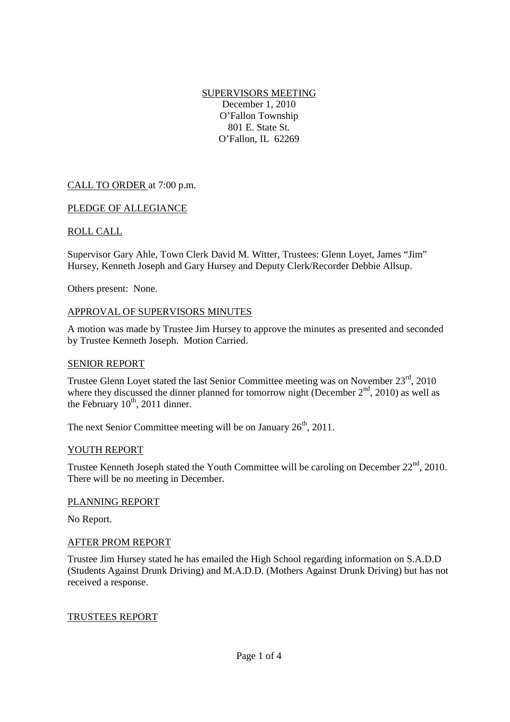SUPERVISORS MEETING December 1, 2010 O'Fallon Township 801 E. State St. O'Fallon, IL 62269

# CALL TO ORDER at 7:00 p.m.

## PLEDGE OF ALLEGIANCE

## ROLL CALL

Supervisor Gary Ahle, Town Clerk David M. Witter, Trustees: Glenn Loyet, James "Jim" Hursey, Kenneth Joseph and Gary Hursey and Deputy Clerk/Recorder Debbie Allsup.

Others present: None.

#### APPROVAL OF SUPERVISORS MINUTES

A motion was made by Trustee Jim Hursey to approve the minutes as presented and seconded by Trustee Kenneth Joseph. Motion Carried.

#### SENIOR REPORT

Trustee Glenn Loyet stated the last Senior Committee meeting was on November 23<sup>rd</sup>, 2010 where they discussed the dinner planned for tomorrow night (December  $2<sup>nd</sup>$ , 2010) as well as the February  $10^{th}$ , 2011 dinner.

The next Senior Committee meeting will be on January  $26<sup>th</sup>$ , 2011.

#### YOUTH REPORT

Trustee Kenneth Joseph stated the Youth Committee will be caroling on December  $22<sup>nd</sup>$ , 2010. There will be no meeting in December.

#### PLANNING REPORT

No Report.

#### AFTER PROM REPORT

Trustee Jim Hursey stated he has emailed the High School regarding information on S.A.D.D (Students Against Drunk Driving) and M.A.D.D. (Mothers Against Drunk Driving) but has not received a response.

## TRUSTEES REPORT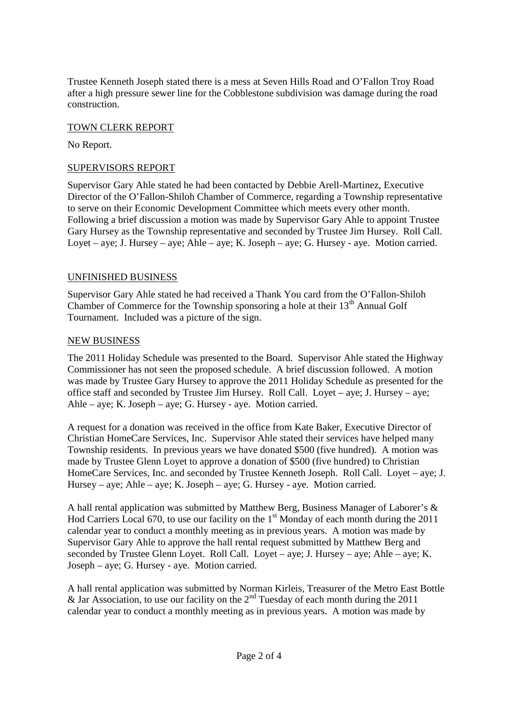Trustee Kenneth Joseph stated there is a mess at Seven Hills Road and O'Fallon Troy Road after a high pressure sewer line for the Cobblestone subdivision was damage during the road construction.

## TOWN CLERK REPORT

No Report.

## SUPERVISORS REPORT

Supervisor Gary Ahle stated he had been contacted by Debbie Arell-Martinez, Executive Director of the O'Fallon-Shiloh Chamber of Commerce, regarding a Township representative to serve on their Economic Development Committee which meets every other month. Following a brief discussion a motion was made by Supervisor Gary Ahle to appoint Trustee Gary Hursey as the Township representative and seconded by Trustee Jim Hursey. Roll Call. Loyet – aye; J. Hursey – aye; Ahle – aye; K. Joseph – aye; G. Hursey - aye. Motion carried.

## UNFINISHED BUSINESS

Supervisor Gary Ahle stated he had received a Thank You card from the O'Fallon-Shiloh Chamber of Commerce for the Township sponsoring a hole at their  $13<sup>th</sup>$  Annual Golf Tournament. Included was a picture of the sign.

## NEW BUSINESS

The 2011 Holiday Schedule was presented to the Board. Supervisor Ahle stated the Highway Commissioner has not seen the proposed schedule. A brief discussion followed. A motion was made by Trustee Gary Hursey to approve the 2011 Holiday Schedule as presented for the office staff and seconded by Trustee Jim Hursey. Roll Call. Loyet – aye; J. Hursey – aye; Ahle – aye; K. Joseph – aye; G. Hursey - aye. Motion carried.

A request for a donation was received in the office from Kate Baker, Executive Director of Christian HomeCare Services, Inc. Supervisor Ahle stated their services have helped many Township residents. In previous years we have donated \$500 (five hundred). A motion was made by Trustee Glenn Loyet to approve a donation of \$500 (five hundred) to Christian HomeCare Services, Inc. and seconded by Trustee Kenneth Joseph. Roll Call. Loyet – aye; J. Hursey – aye; Ahle – aye; K. Joseph – aye; G. Hursey - aye. Motion carried.

A hall rental application was submitted by Matthew Berg, Business Manager of Laborer's & Hod Carriers Local 670, to use our facility on the 1<sup>st</sup> Monday of each month during the 2011 calendar year to conduct a monthly meeting as in previous years. A motion was made by Supervisor Gary Ahle to approve the hall rental request submitted by Matthew Berg and seconded by Trustee Glenn Loyet. Roll Call. Loyet – aye; J. Hursey – aye; Ahle – aye; K. Joseph – aye; G. Hursey - aye. Motion carried.

A hall rental application was submitted by Norman Kirleis, Treasurer of the Metro East Bottle  $\&$  Jar Association, to use our facility on the  $2<sup>nd</sup>$  Tuesday of each month during the 2011 calendar year to conduct a monthly meeting as in previous years. A motion was made by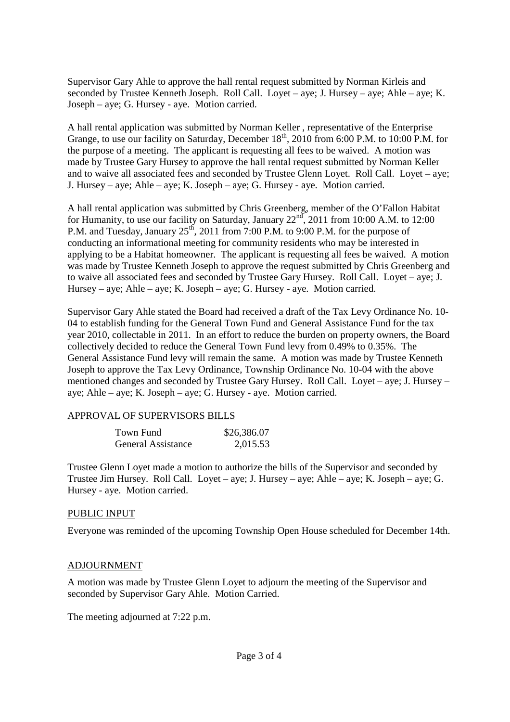Supervisor Gary Ahle to approve the hall rental request submitted by Norman Kirleis and seconded by Trustee Kenneth Joseph. Roll Call. Loyet – aye; J. Hursey – aye; Ahle – aye; K. Joseph – aye; G. Hursey - aye. Motion carried.

A hall rental application was submitted by Norman Keller , representative of the Enterprise Grange, to use our facility on Saturday, December  $18<sup>th</sup>$ , 2010 from 6:00 P.M. to 10:00 P.M. for the purpose of a meeting. The applicant is requesting all fees to be waived. A motion was made by Trustee Gary Hursey to approve the hall rental request submitted by Norman Keller and to waive all associated fees and seconded by Trustee Glenn Loyet. Roll Call. Loyet – aye; J. Hursey – aye; Ahle – aye; K. Joseph – aye; G. Hursey - aye. Motion carried.

A hall rental application was submitted by Chris Greenberg, member of the O'Fallon Habitat for Humanity, to use our facility on Saturday, January  $22^{nd}$ , 2011 from 10:00 A.M. to 12:00 P.M. and Tuesday, January  $25^{th}$ , 2011 from 7:00 P.M. to 9:00 P.M. for the purpose of conducting an informational meeting for community residents who may be interested in applying to be a Habitat homeowner. The applicant is requesting all fees be waived. A motion was made by Trustee Kenneth Joseph to approve the request submitted by Chris Greenberg and to waive all associated fees and seconded by Trustee Gary Hursey. Roll Call. Loyet – aye; J. Hursey – aye; Ahle – aye; K. Joseph – aye; G. Hursey - aye. Motion carried.

Supervisor Gary Ahle stated the Board had received a draft of the Tax Levy Ordinance No. 10- 04 to establish funding for the General Town Fund and General Assistance Fund for the tax year 2010, collectable in 2011. In an effort to reduce the burden on property owners, the Board collectively decided to reduce the General Town Fund levy from 0.49% to 0.35%. The General Assistance Fund levy will remain the same. A motion was made by Trustee Kenneth Joseph to approve the Tax Levy Ordinance, Township Ordinance No. 10-04 with the above mentioned changes and seconded by Trustee Gary Hursey. Roll Call. Loyet – aye; J. Hursey – aye; Ahle – aye; K. Joseph – aye; G. Hursey - aye. Motion carried.

## APPROVAL OF SUPERVISORS BILLS

| Town Fund                 | \$26,386.07 |
|---------------------------|-------------|
| <b>General Assistance</b> | 2,015.53    |

Trustee Glenn Loyet made a motion to authorize the bills of the Supervisor and seconded by Trustee Jim Hursey. Roll Call. Loyet – aye; J. Hursey – aye; Ahle – aye; K. Joseph – aye; G. Hursey - aye. Motion carried.

## PUBLIC INPUT

Everyone was reminded of the upcoming Township Open House scheduled for December 14th.

## ADJOURNMENT

A motion was made by Trustee Glenn Loyet to adjourn the meeting of the Supervisor and seconded by Supervisor Gary Ahle. Motion Carried.

The meeting adjourned at 7:22 p.m.